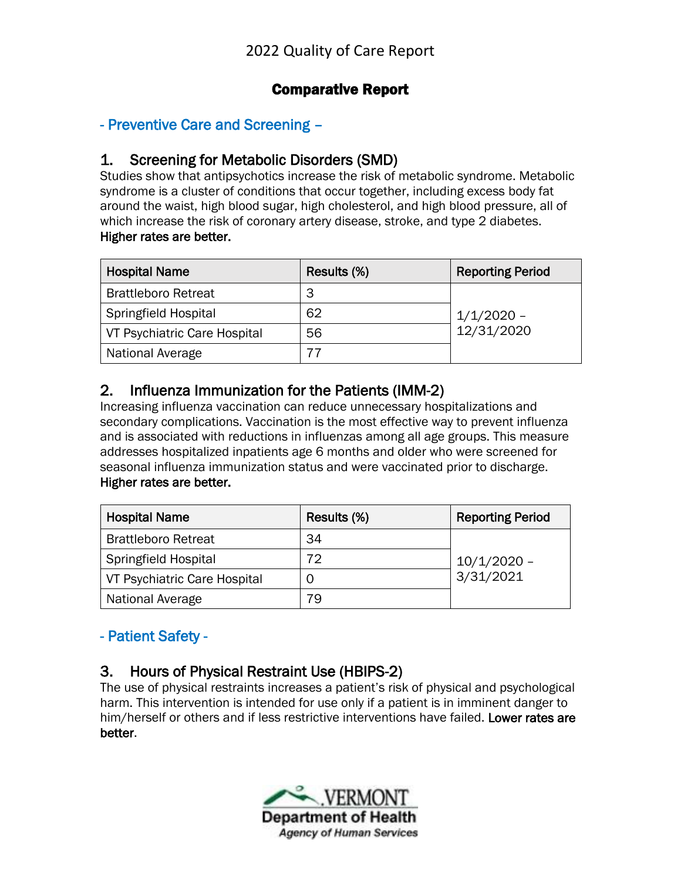### Comparative Report

#### - Preventive Care and Screening –

#### 1. Screening for Metabolic Disorders (SMD)

Studies show that antipsychotics increase the risk of metabolic syndrome. Metabolic syndrome is a cluster of conditions that occur together, including excess body fat around the waist, high blood sugar, high cholesterol, and high blood pressure, all of which increase the risk of coronary artery disease, stroke, and type 2 diabetes. Higher rates are better.

| <b>Hospital Name</b>         | Results (%) | <b>Reporting Period</b>    |
|------------------------------|-------------|----------------------------|
| <b>Brattleboro Retreat</b>   | З           |                            |
| <b>Springfield Hospital</b>  | 62          | $1/1/2020$ -<br>12/31/2020 |
| VT Psychiatric Care Hospital | 56          |                            |
| National Average             |             |                            |

#### 2. Influenza Immunization for the Patients (IMM-2)

Increasing influenza vaccination can reduce unnecessary hospitalizations and secondary complications. Vaccination is the most effective way to prevent influenza and is associated with reductions in influenzas among all age groups. This measure addresses hospitalized inpatients age 6 months and older who were screened for seasonal influenza immunization status and were vaccinated prior to discharge. Higher rates are better.

| <b>Hospital Name</b>         | Results (%) | <b>Reporting Period</b> |
|------------------------------|-------------|-------------------------|
| <b>Brattleboro Retreat</b>   | 34          |                         |
| <b>Springfield Hospital</b>  | 72          | $10/1/2020$ -           |
| VT Psychiatric Care Hospital |             | 3/31/2021               |
| National Average             | 79          |                         |

### - Patient Safety -

### 3. Hours of Physical Restraint Use (HBIPS-2)

The use of physical restraints increases a patient's risk of physical and psychological harm. This intervention is intended for use only if a patient is in imminent danger to him/herself or others and if less restrictive interventions have failed. Lower rates are better.

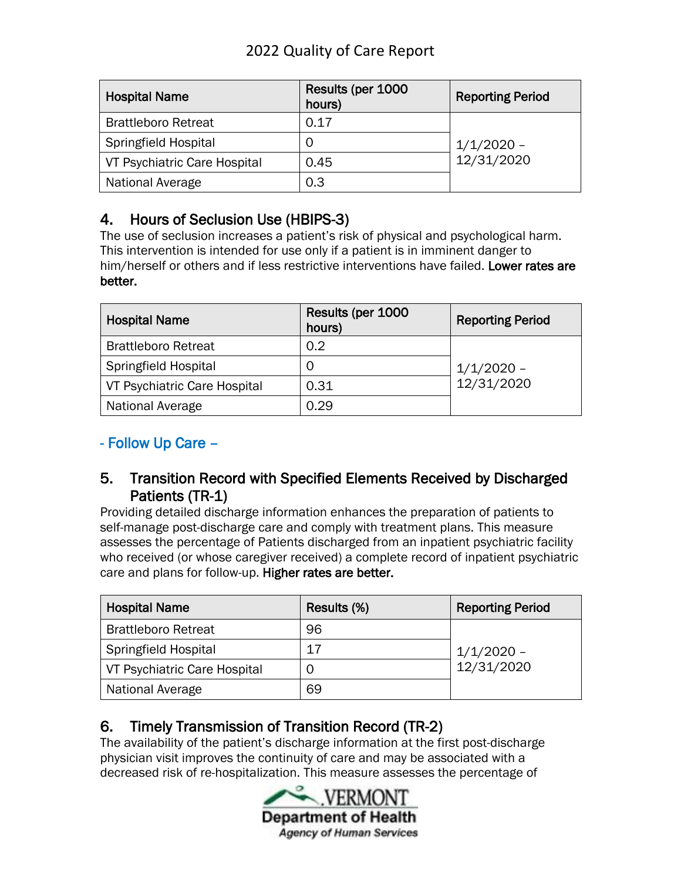| <b>Hospital Name</b>         | Results (per 1000<br>hours) | <b>Reporting Period</b>    |
|------------------------------|-----------------------------|----------------------------|
| <b>Brattleboro Retreat</b>   | 0.17                        |                            |
| Springfield Hospital         | O                           | $1/1/2020$ -<br>12/31/2020 |
| VT Psychiatric Care Hospital | 0.45                        |                            |
| National Average             | 0.3                         |                            |

### 4. Hours of Seclusion Use (HBIPS-3)

The use of seclusion increases a patient's risk of physical and psychological harm. This intervention is intended for use only if a patient is in imminent danger to him/herself or others and if less restrictive interventions have failed. Lower rates are better.

| <b>Hospital Name</b>         | Results (per 1000<br>hours) | <b>Reporting Period</b>    |
|------------------------------|-----------------------------|----------------------------|
| <b>Brattleboro Retreat</b>   | 0.2                         |                            |
| Springfield Hospital         | O                           | $1/1/2020 -$<br>12/31/2020 |
| VT Psychiatric Care Hospital | 0.31                        |                            |
| National Average             | 0.29                        |                            |

### - Follow Up Care –

#### 5. Transition Record with Specified Elements Received by Discharged Patients (TR-1)

Providing detailed discharge information enhances the preparation of patients to self-manage post-discharge care and comply with treatment plans. This measure assesses the percentage of Patients discharged from an inpatient psychiatric facility who received (or whose caregiver received) a complete record of inpatient psychiatric care and plans for follow-up. Higher rates are better.

| <b>Hospital Name</b>         | Results (%) | <b>Reporting Period</b>    |
|------------------------------|-------------|----------------------------|
| <b>Brattleboro Retreat</b>   | 96          |                            |
| Springfield Hospital         | 17          | $1/1/2020 -$<br>12/31/2020 |
| VT Psychiatric Care Hospital | U           |                            |
| National Average             | 69          |                            |

# 6. Timely Transmission of Transition Record (TR-2)

The availability of the patient's discharge information at the first post-discharge physician visit improves the continuity of care and may be associated with a decreased risk of re-hospitalization. This measure assesses the percentage of

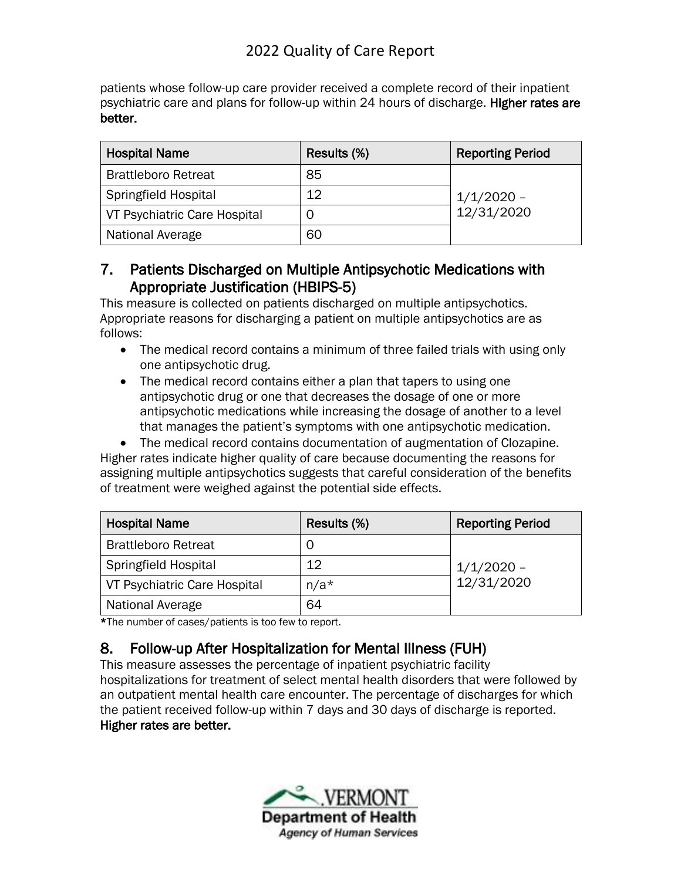patients whose follow-up care provider received a complete record of their inpatient psychiatric care and plans for follow-up within 24 hours of discharge. Higher rates are better.

| <b>Hospital Name</b>         | Results (%) | <b>Reporting Period</b>    |
|------------------------------|-------------|----------------------------|
| <b>Brattleboro Retreat</b>   | 85          |                            |
| Springfield Hospital         | 12          | $1/1/2020$ -<br>12/31/2020 |
| VT Psychiatric Care Hospital | C           |                            |
| National Average             | 60          |                            |

### 7. Patients Discharged on Multiple Antipsychotic Medications with Appropriate Justification (HBIPS-5)

This measure is collected on patients discharged on multiple antipsychotics. Appropriate reasons for discharging a patient on multiple antipsychotics are as follows:

- The medical record contains a minimum of three failed trials with using only one antipsychotic drug.
- The medical record contains either a plan that tapers to using one antipsychotic drug or one that decreases the dosage of one or more antipsychotic medications while increasing the dosage of another to a level that manages the patient's symptoms with one antipsychotic medication.

• The medical record contains documentation of augmentation of Clozapine. Higher rates indicate higher quality of care because documenting the reasons for assigning multiple antipsychotics suggests that careful consideration of the benefits of treatment were weighed against the potential side effects.

| <b>Hospital Name</b>         | Results (%) | <b>Reporting Period</b>    |
|------------------------------|-------------|----------------------------|
| <b>Brattleboro Retreat</b>   | U           |                            |
| <b>Springfield Hospital</b>  | 12          | $1/1/2020 -$<br>12/31/2020 |
| VT Psychiatric Care Hospital | $n/a*$      |                            |
| National Average             | 64          |                            |

\*The number of cases/patients is too few to report.

# 8. Follow-up After Hospitalization for Mental Illness (FUH)

This measure assesses the percentage of inpatient psychiatric facility hospitalizations for treatment of select mental health disorders that were followed by an outpatient mental health care encounter. The percentage of discharges for which the patient received follow-up within 7 days and 30 days of discharge is reported. Higher rates are better.

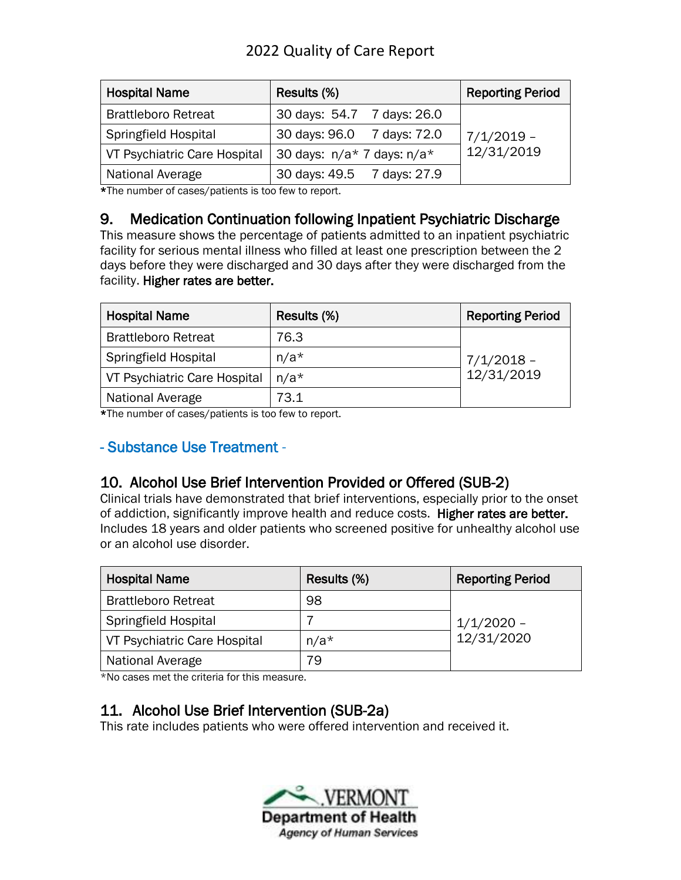| <b>Hospital Name</b>         | Results (%)                    | <b>Reporting Period</b> |
|------------------------------|--------------------------------|-------------------------|
| <b>Brattleboro Retreat</b>   | 30 days: 54.7 7 days: 26.0     |                         |
| <b>Springfield Hospital</b>  | 30 days: 96.0 7 days: 72.0     | $7/1/2019$ -            |
| VT Psychiatric Care Hospital | 30 days: $n/a*$ 7 days: $n/a*$ | 12/31/2019              |
| National Average             | 30 days: 49.5 7 days: 27.9     |                         |

\*The number of cases/patients is too few to report.

#### 9. Medication Continuation following Inpatient Psychiatric Discharge

This measure shows the percentage of patients admitted to an inpatient psychiatric facility for serious mental illness who filled at least one prescription between the 2 days before they were discharged and 30 days after they were discharged from the facility. Higher rates are better.

| <b>Hospital Name</b>         | Results (%) | <b>Reporting Period</b> |
|------------------------------|-------------|-------------------------|
| <b>Brattleboro Retreat</b>   | 76.3        |                         |
| <b>Springfield Hospital</b>  | $n/a*$      | $7/1/2018$ -            |
| VT Psychiatric Care Hospital | $n/a*$      | 12/31/2019              |
| National Average             | 73.1        |                         |

\*The number of cases/patients is too few to report.

### - Substance Use Treatment -

## 10. Alcohol Use Brief Intervention Provided or Offered (SUB-2)

Clinical trials have demonstrated that brief interventions, especially prior to the onset of addiction, significantly improve health and reduce costs. Higher rates are better. Includes 18 years and older patients who screened positive for unhealthy alcohol use or an alcohol use disorder.

| <b>Hospital Name</b>         | Results (%) | <b>Reporting Period</b>    |
|------------------------------|-------------|----------------------------|
| <b>Brattleboro Retreat</b>   | 98          |                            |
| Springfield Hospital         |             | $1/1/2020 -$<br>12/31/2020 |
| VT Psychiatric Care Hospital | $n/a*$      |                            |
| National Average             | 79          |                            |

\*No cases met the criteria for this measure.

### 11. Alcohol Use Brief Intervention (SUB-2a)

This rate includes patients who were offered intervention and received it.

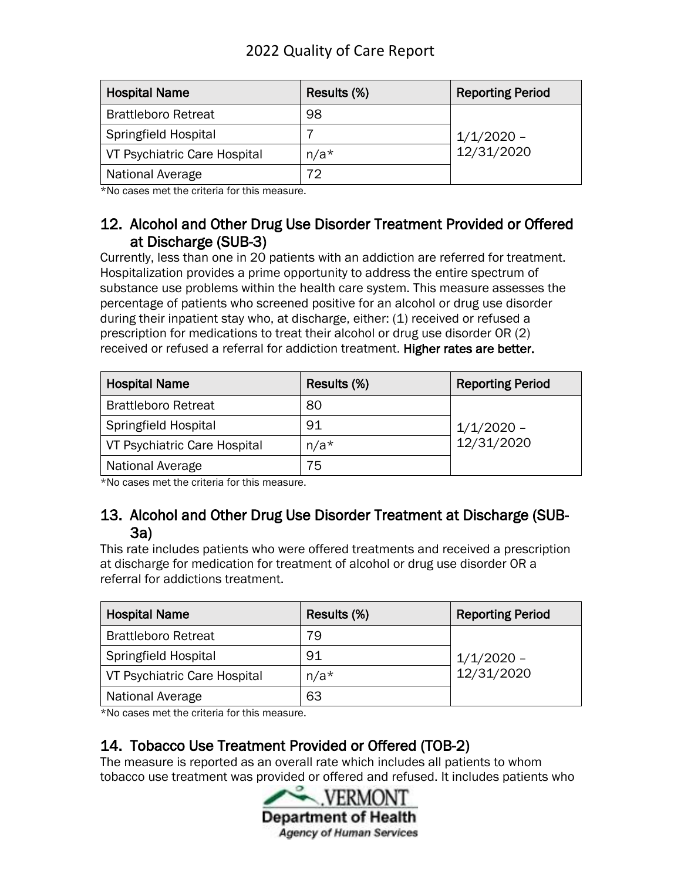| <b>Hospital Name</b>         | Results (%) | <b>Reporting Period</b>    |
|------------------------------|-------------|----------------------------|
| <b>Brattleboro Retreat</b>   | 98          |                            |
| <b>Springfield Hospital</b>  |             | $1/1/2020$ -<br>12/31/2020 |
| VT Psychiatric Care Hospital | $n/a*$      |                            |
| <b>National Average</b>      | 70          |                            |

\*No cases met the criteria for this measure.

#### 12. Alcohol and Other Drug Use Disorder Treatment Provided or Offered at Discharge (SUB-3)

Currently, less than one in 20 patients with an addiction are referred for treatment. Hospitalization provides a prime opportunity to address the entire spectrum of substance use problems within the health care system. This measure assesses the percentage of patients who screened positive for an alcohol or drug use disorder during their inpatient stay who, at discharge, either: (1) received or refused a prescription for medications to treat their alcohol or drug use disorder OR (2) received or refused a referral for addiction treatment. Higher rates are better.

| <b>Hospital Name</b>         | Results (%) | <b>Reporting Period</b>    |
|------------------------------|-------------|----------------------------|
| <b>Brattleboro Retreat</b>   | 80          |                            |
| Springfield Hospital         | 91          | $1/1/2020$ –<br>12/31/2020 |
| VT Psychiatric Care Hospital | $n/a*$      |                            |
| National Average             | 75          |                            |

\*No cases met the criteria for this measure.

#### 13. Alcohol and Other Drug Use Disorder Treatment at Discharge (SUB-3a)

This rate includes patients who were offered treatments and received a prescription at discharge for medication for treatment of alcohol or drug use disorder OR a referral for addictions treatment.

| <b>Hospital Name</b>         | Results (%) | <b>Reporting Period</b>    |
|------------------------------|-------------|----------------------------|
| <b>Brattleboro Retreat</b>   | 79          |                            |
| Springfield Hospital         | 91          | $1/1/2020 -$<br>12/31/2020 |
| VT Psychiatric Care Hospital | $n/a*$      |                            |
| National Average             | 63          |                            |

\*No cases met the criteria for this measure.

## 14. Tobacco Use Treatment Provided or Offered (TOB-2)

The measure is reported as an overall rate which includes all patients to whom tobacco use treatment was provided or offered and refused. It includes patients who

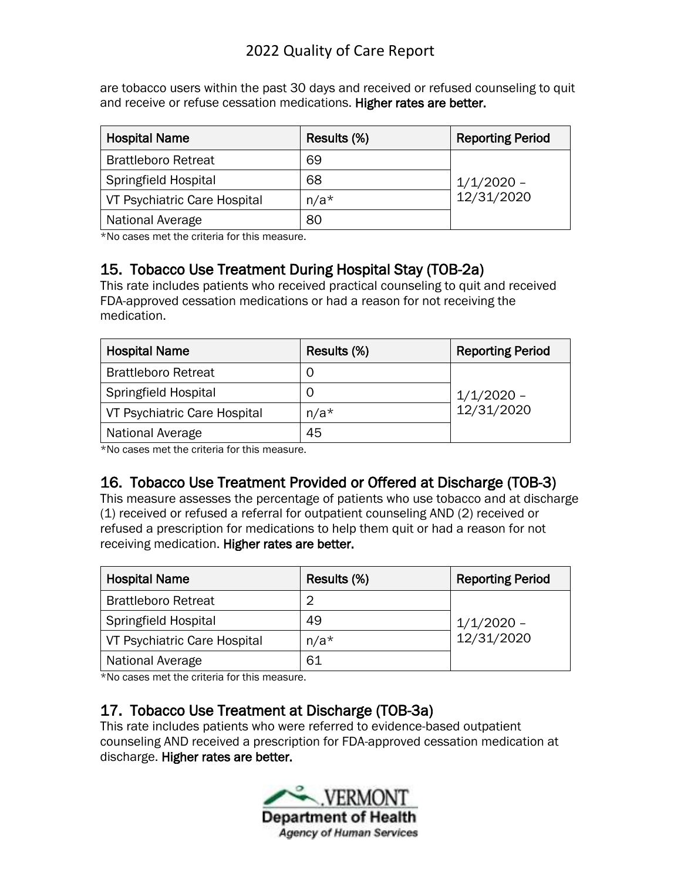are tobacco users within the past 30 days and received or refused counseling to quit and receive or refuse cessation medications. Higher rates are better.

| <b>Hospital Name</b>         | Results (%) | <b>Reporting Period</b>    |
|------------------------------|-------------|----------------------------|
| <b>Brattleboro Retreat</b>   | 69          |                            |
| <b>Springfield Hospital</b>  | 68          | $1/1/2020$ -<br>12/31/2020 |
| VT Psychiatric Care Hospital | $n/a*$      |                            |
| National Average             | 80          |                            |

\*No cases met the criteria for this measure.

## 15. Tobacco Use Treatment During Hospital Stay (TOB-2a)

This rate includes patients who received practical counseling to quit and received FDA-approved cessation medications or had a reason for not receiving the medication.

| <b>Hospital Name</b>         | Results (%) | <b>Reporting Period</b> |
|------------------------------|-------------|-------------------------|
| <b>Brattleboro Retreat</b>   |             |                         |
| <b>Springfield Hospital</b>  |             | $1/1/2020$ -            |
| VT Psychiatric Care Hospital | $n/a*$      | 12/31/2020              |
| National Average             | 45          |                         |

\*No cases met the criteria for this measure.

## 16. Tobacco Use Treatment Provided or Offered at Discharge (TOB-3)

This measure assesses the percentage of patients who use tobacco and at discharge (1) received or refused a referral for outpatient counseling AND (2) received or refused a prescription for medications to help them quit or had a reason for not receiving medication. Higher rates are better.

| <b>Hospital Name</b>         | Results (%) | <b>Reporting Period</b>    |
|------------------------------|-------------|----------------------------|
| <b>Brattleboro Retreat</b>   |             |                            |
| <b>Springfield Hospital</b>  | 49          | $1/1/2020 -$<br>12/31/2020 |
| VT Psychiatric Care Hospital | $n/a*$      |                            |
| National Average             | 61          |                            |

\*No cases met the criteria for this measure.

### 17. Tobacco Use Treatment at Discharge (TOB-3a)

This rate includes patients who were referred to evidence-based outpatient counseling AND received a prescription for FDA-approved cessation medication at discharge. Higher rates are better.